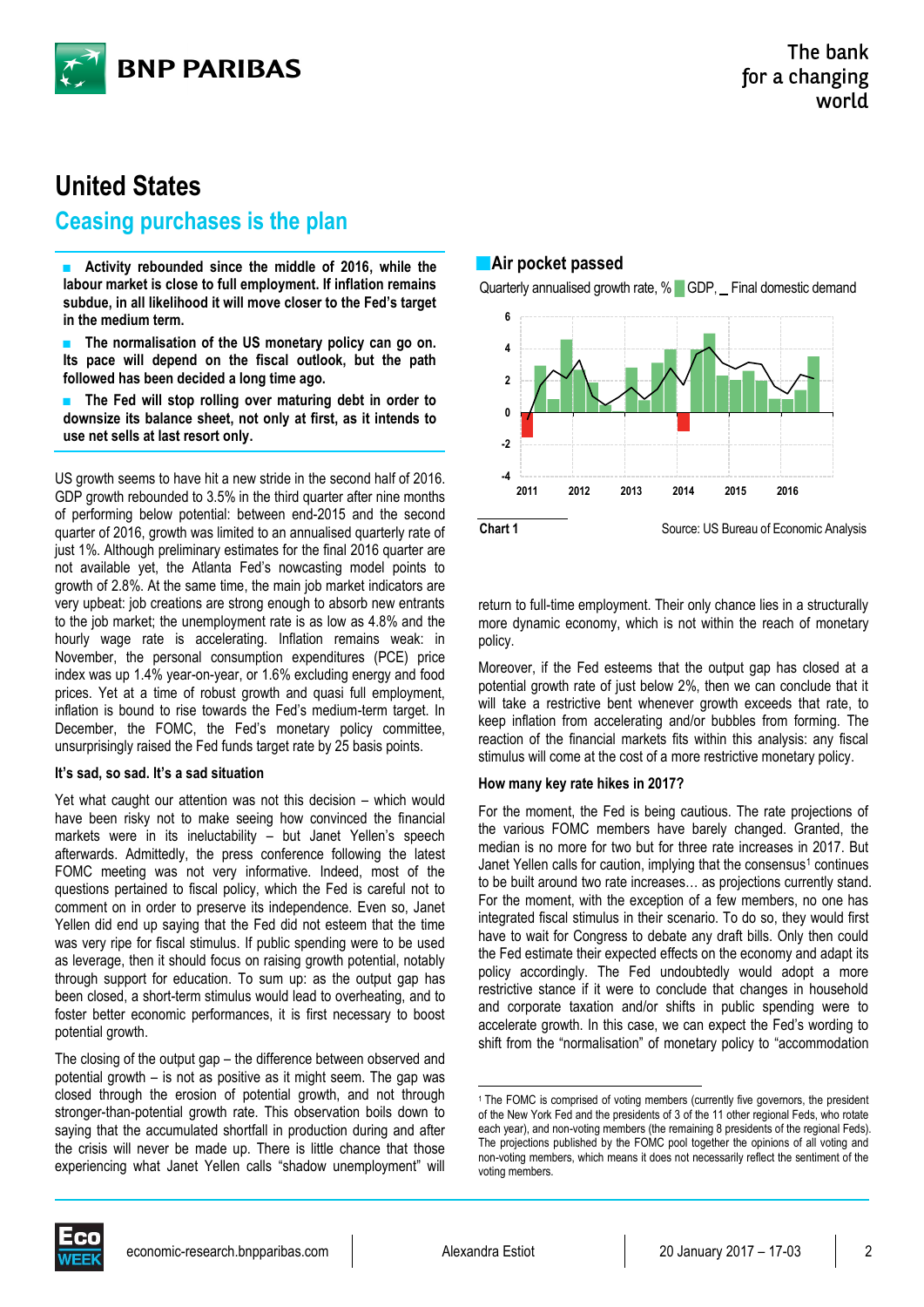

# **United States**

# **Ceasing purchases is the plan**

■ **Activity rebounded since the middle of 2016, while the labour market is close to full employment. If inflation remains subdue, in all likelihood it will move closer to the Fed's target in the medium term.**

The normalisation of the US monetary policy can go on. **Its pace will depend on the fiscal outlook, but the path followed has been decided a long time ago.**

The Fed will stop rolling over maturing debt in order to **downsize its balance sheet, not only at first, as it intends to use net sells at last resort only.**

US growth seems to have hit a new stride in the second half of 2016. GDP growth rebounded to 3.5% in the third quarter after nine months of performing below potential: between end-2015 and the second quarter of 2016, growth was limited to an annualised quarterly rate of just 1%. Although preliminary estimates for the final 2016 quarter are not available yet, the Atlanta Fed's nowcasting model points to growth of 2.8%. At the same time, the main job market indicators are very upbeat: job creations are strong enough to absorb new entrants to the job market; the unemployment rate is as low as 4.8% and the hourly wage rate is accelerating. Inflation remains weak: in November, the personal consumption expenditures (PCE) price index was up 1.4% year-on-year, or 1.6% excluding energy and food prices. Yet at a time of robust growth and quasi full employment, inflation is bound to rise towards the Fed's medium-term target. In December, the FOMC, the Fed's monetary policy committee, unsurprisingly raised the Fed funds target rate by 25 basis points.

## **It's sad, so sad. It's a sad situation**

Yet what caught our attention was not this decision – which would have been risky not to make seeing how convinced the financial markets were in its ineluctability – but Janet Yellen's speech afterwards. Admittedly, the press conference following the latest FOMC meeting was not very informative. Indeed, most of the questions pertained to fiscal policy, which the Fed is careful not to comment on in order to preserve its independence. Even so, Janet Yellen did end up saying that the Fed did not esteem that the time was very ripe for fiscal stimulus. If public spending were to be used as leverage, then it should focus on raising growth potential, notably through support for education. To sum up: as the output gap has been closed, a short-term stimulus would lead to overheating, and to foster better economic performances, it is first necessary to boost potential growth.

The closing of the output gap – the difference between observed and potential growth – is not as positive as it might seem. The gap was closed through the erosion of potential growth, and not through stronger-than-potential growth rate. This observation boils down to saying that the accumulated shortfall in production during and after the crisis will never be made up. There is little chance that those experiencing what Janet Yellen calls "shadow unemployment" will

**Air pocket passed**

Quarterly annualised growth rate, % GDP, Final domestic demand



return to full-time employment. Their only chance lies in a structurally more dynamic economy, which is not within the reach of monetary policy.

Moreover, if the Fed esteems that the output gap has closed at a potential growth rate of just below 2%, then we can conclude that it will take a restrictive bent whenever growth exceeds that rate, to keep inflation from accelerating and/or bubbles from forming. The reaction of the financial markets fits within this analysis: any fiscal stimulus will come at the cost of a more restrictive monetary policy.

#### **How many key rate hikes in 2017?**

For the moment, the Fed is being cautious. The rate projections of the various FOMC members have barely changed. Granted, the median is no more for two but for three rate increases in 2017. But Janet Yellen calls for caution, implying that the consensus<sup>1</sup> continues to be built around two rate increases… as projections currently stand. For the moment, with the exception of a few members, no one has integrated fiscal stimulus in their scenario. To do so, they would first have to wait for Congress to debate any draft bills. Only then could the Fed estimate their expected effects on the economy and adapt its policy accordingly. The Fed undoubtedly would adopt a more restrictive stance if it were to conclude that changes in household and corporate taxation and/or shifts in public spending were to accelerate growth. In this case, we can expect the Fed's wording to shift from the "normalisation" of monetary policy to "accommodation



<sup>.</sup> <sup>1</sup> The FOMC is comprised of voting members (currently five governors, the president of the New York Fed and the presidents of 3 of the 11 other regional Feds, who rotate each year), and non-voting members (the remaining 8 presidents of the regional Feds). The projections published by the FOMC pool together the opinions of all voting and non-voting members, which means it does not necessarily reflect the sentiment of the voting members.